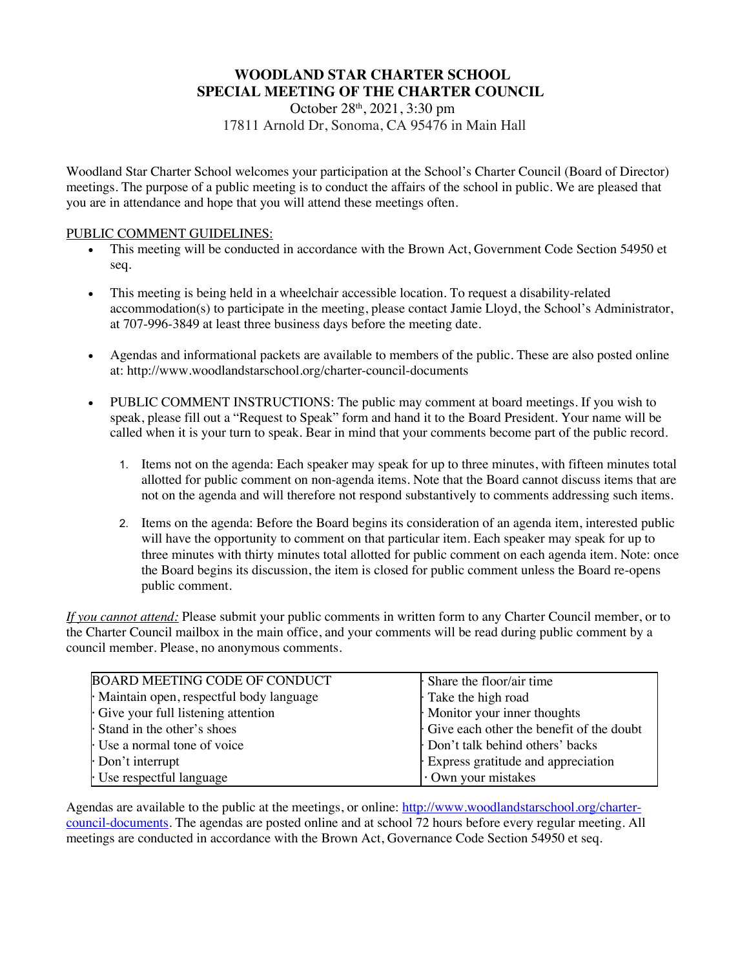## **WOODLAND STAR CHARTER SCHOOL SPECIAL MEETING OF THE CHARTER COUNCIL**

October 28th, 2021, 3:30 pm 17811 Arnold Dr, Sonoma, CA 95476 in Main Hall

Woodland Star Charter School welcomes your participation at the School's Charter Council (Board of Director) meetings. The purpose of a public meeting is to conduct the affairs of the school in public. We are pleased that you are in attendance and hope that you will attend these meetings often.

### PUBLIC COMMENT GUIDELINES:

- This meeting will be conducted in accordance with the Brown Act, Government Code Section 54950 et seq.
- This meeting is being held in a wheelchair accessible location. To request a disability-related accommodation(s) to participate in the meeting, please contact Jamie Lloyd, the School's Administrator, at 707-996-3849 at least three business days before the meeting date.
- Agendas and informational packets are available to members of the public. These are also posted online at: http://www.woodlandstarschool.org/charter-council-documents
- PUBLIC COMMENT INSTRUCTIONS: The public may comment at board meetings. If you wish to speak, please fill out a "Request to Speak" form and hand it to the Board President. Your name will be called when it is your turn to speak. Bear in mind that your comments become part of the public record.
	- 1. Items not on the agenda: Each speaker may speak for up to three minutes, with fifteen minutes total allotted for public comment on non-agenda items. Note that the Board cannot discuss items that are not on the agenda and will therefore not respond substantively to comments addressing such items.
	- 2. Items on the agenda: Before the Board begins its consideration of an agenda item, interested public will have the opportunity to comment on that particular item. Each speaker may speak for up to three minutes with thirty minutes total allotted for public comment on each agenda item. Note: once the Board begins its discussion, the item is closed for public comment unless the Board re-opens public comment.

*If you cannot attend:* Please submit your public comments in written form to any Charter Council member, or to the Charter Council mailbox in the main office, and your comments will be read during public comment by a council member. Please, no anonymous comments.

| <b>BOARD MEETING CODE OF CONDUCT</b>    | Share the floor/air time                 |
|-----------------------------------------|------------------------------------------|
| Maintain open, respectful body language | Take the high road                       |
| Give your full listening attention      | Monitor your inner thoughts              |
| Stand in the other's shoes              | Give each other the benefit of the doubt |
| Use a normal tone of voice              | Don't talk behind others' backs          |
| Don't interrupt                         | Express gratitude and appreciation       |
| Use respectful language                 | Own your mistakes                        |

Agendas are available to the public at the meetings, or online: http://www.woodlandstarschool.org/chartercouncil-documents. The agendas are posted online and at school 72 hours before every regular meeting. All meetings are conducted in accordance with the Brown Act, Governance Code Section 54950 et seq.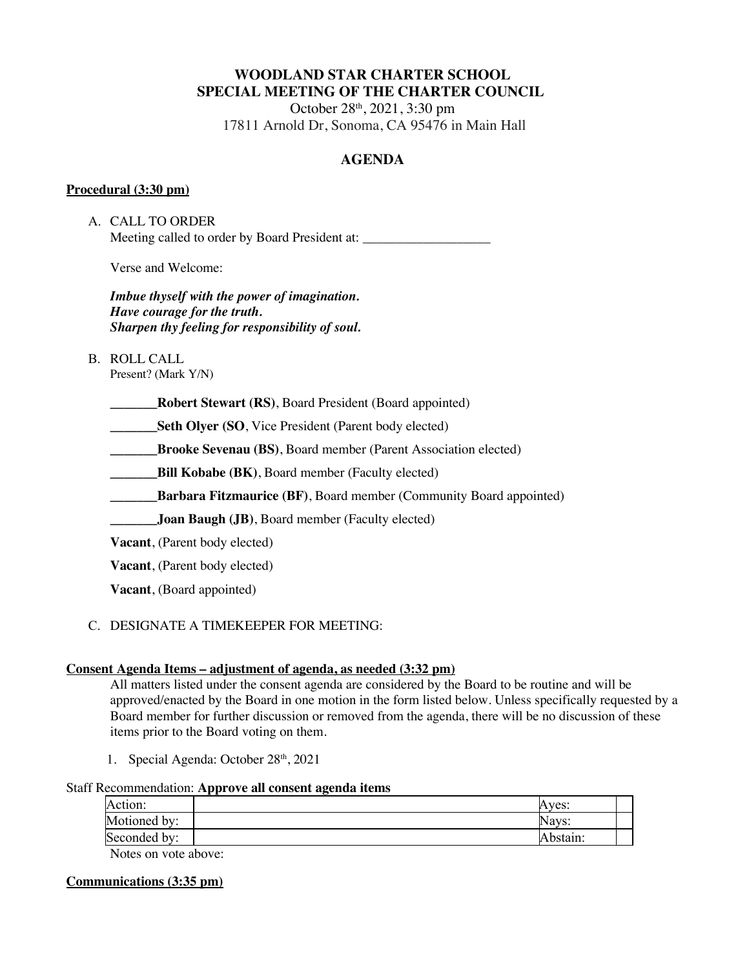# **WOODLAND STAR CHARTER SCHOOL SPECIAL MEETING OF THE CHARTER COUNCIL**

October 28th, 2021, 3:30 pm 17811 Arnold Dr, Sonoma, CA 95476 in Main Hall

## **AGENDA**

## **Procedural (3:30 pm)**

A. CALL TO ORDER Meeting called to order by Board President at:

Verse and Welcome:

*Imbue thyself with the power of imagination. Have courage for the truth. Sharpen thy feeling for responsibility of soul.*

B. ROLL CALL

Present? (Mark Y/N)

**\_\_\_\_\_\_\_Robert Stewart (RS)**, Board President (Board appointed)

**Seth Olyer (SO, Vice President (Parent body elected)** 

**\_\_\_\_\_\_\_Brooke Sevenau (BS)**, Board member (Parent Association elected)

**Bill Kobabe (BK)**, Board member (Faculty elected)

**Example 3 Barbara Fitzmaurice (BF)**, Board member (Community Board appointed)

**Joan Baugh (JB)**, Board member (Faculty elected)

**Vacant**, (Parent body elected)

**Vacant**, (Parent body elected)

**Vacant**, (Board appointed)

## C. DESIGNATE A TIMEKEEPER FOR MEETING:

### **Consent Agenda Items – adjustment of agenda, as needed (3:32 pm)**

All matters listed under the consent agenda are considered by the Board to be routine and will be approved/enacted by the Board in one motion in the form listed below. Unless specifically requested by a Board member for further discussion or removed from the agenda, there will be no discussion of these items prior to the Board voting on them.

1. Special Agenda: October 28<sup>th</sup>, 2021

### Staff Recommendation: **Approve all consent agenda items**

| Action:              | Aves:    |
|----------------------|----------|
| Motioned by:         | Navs:    |
| Seconded by:         | Abstain: |
| Notes on yoto shows: |          |

Notes on vote above:

### **Communications (3:35 pm)**